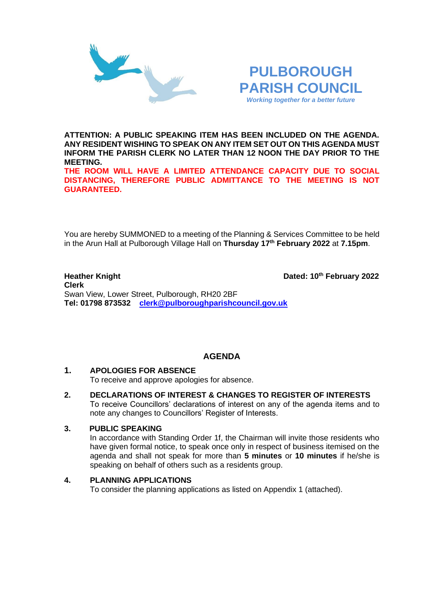



**ATTENTION: A PUBLIC SPEAKING ITEM HAS BEEN INCLUDED ON THE AGENDA. ANY RESIDENT WISHING TO SPEAK ON ANY ITEM SET OUT ON THIS AGENDA MUST INFORM THE PARISH CLERK NO LATER THAN 12 NOON THE DAY PRIOR TO THE MEETING.**

**THE ROOM WILL HAVE A LIMITED ATTENDANCE CAPACITY DUE TO SOCIAL DISTANCING, THEREFORE PUBLIC ADMITTANCE TO THE MEETING IS NOT GUARANTEED.**

You are hereby SUMMONED to a meeting of the Planning & Services Committee to be held in the Arun Hall at Pulborough Village Hall on **Thursday 17th February 2022** at **7.15pm**.

### **Heather Knight Dated: 10<sup>th</sup> February 2022 Clerk**  Swan View, Lower Street, Pulborough, RH20 2BF **Tel: 01798 873532 [clerk@pulboroughparishcouncil.gov.uk](mailto:clerk@pulboroughparishcouncil.gov.uk)**

# **AGENDA**

# **1. APOLOGIES FOR ABSENCE**

To receive and approve apologies for absence.

**2. DECLARATIONS OF INTEREST & CHANGES TO REGISTER OF INTERESTS** To receive Councillors' declarations of interest on any of the agenda items and to note any changes to Councillors' Register of Interests.

# **3. PUBLIC SPEAKING**

In accordance with Standing Order 1f, the Chairman will invite those residents who have given formal notice, to speak once only in respect of business itemised on the agenda and shall not speak for more than **5 minutes** or **10 minutes** if he/she is speaking on behalf of others such as a residents group.

# **4. PLANNING APPLICATIONS**

To consider the planning applications as listed on Appendix 1 (attached).